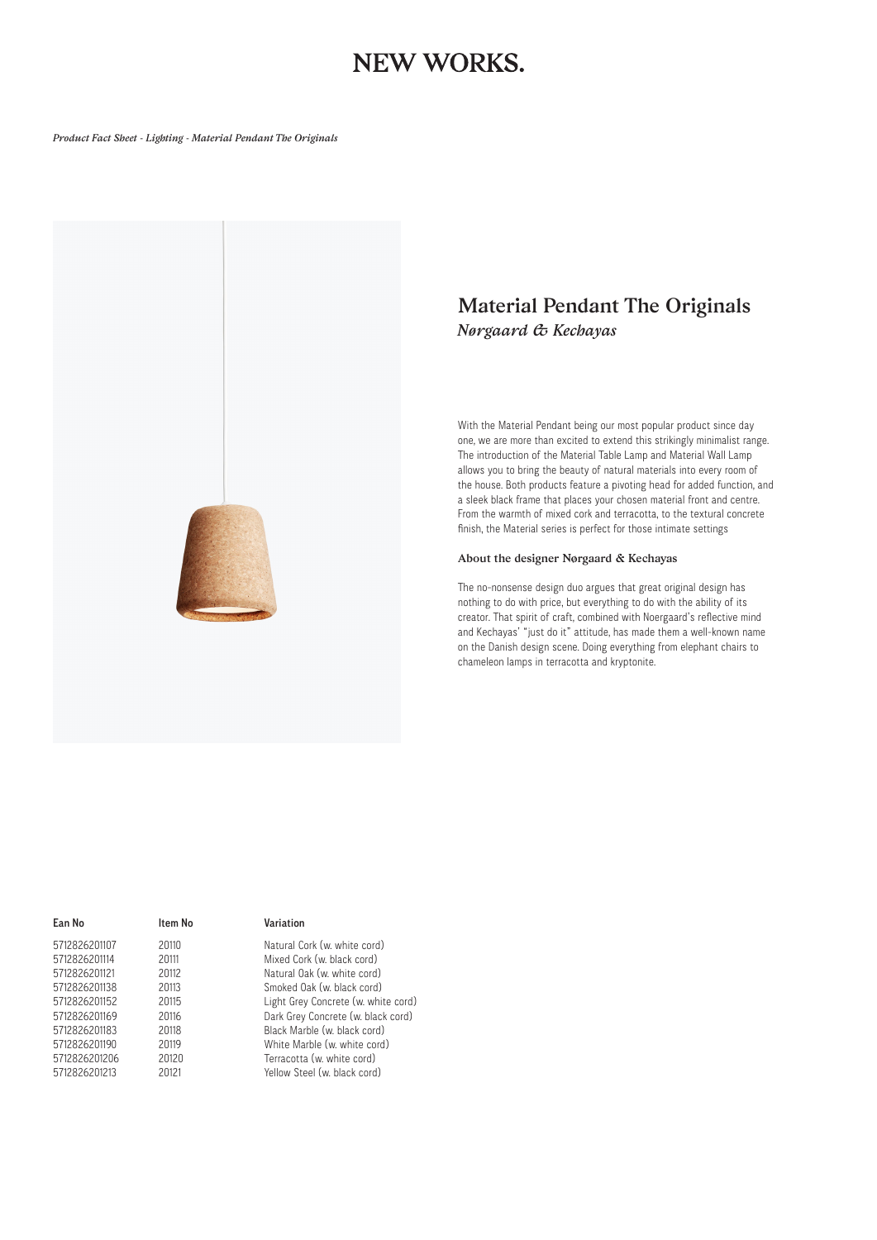## **NEW WORKS.**

#### *Product Fact Sheet - Lighting - Material Pendant The Originals*



### *Material Pendant The Originals Nørgaard & Kechayas*

With the Material Pendant being our most popular product since day one, we are more than excited to extend this strikingly minimalist range. The introduction of the Material Table Lamp and Material Wall Lamp allows you to bring the beauty of natural materials into every room of the house. Both products feature a pivoting head for added function, and a sleek black frame that places your chosen material front and centre. From the warmth of mixed cork and terracotta, to the textural concrete finish, the Material series is perfect for those intimate settings

#### *About the designer Nørgaard & Kechayas*

The no-nonsense design duo argues that great original design has nothing to do with price, but everything to do with the ability of its creator. That spirit of craft, combined with Noergaard's reflective mind and Kechayas' "just do it" attitude, has made them a well-known name on the Danish design scene. Doing everything from elephant chairs to chameleon lamps in terracotta and kryptonite.

| Ean No        | Item No |
|---------------|---------|
| 5712826201107 | 20110   |
| 5712826201114 | 20111   |
| 5712826201121 | 20112   |
| 5712826201138 | 20113   |
| 5712826201152 | 20115   |
| 5712826201169 | 20116   |
| 5712826201183 | 20118   |
| 5712826201190 | 20119   |
| 5712826201206 | 20120   |
| 5712826201213 | 20121   |
|               |         |

### Variation

Natural Cork (w. white cord) Mixed Cork (w. black cord) Natural Oak (w. white cord) Smoked Oak (w. black cord) Light Grey Concrete (w. white cord) Dark Grey Concrete (w. black cord) Black Marble (w. black cord) White Marble (w. white cord) Terracotta (w. white cord) Yellow Steel (w. black cord)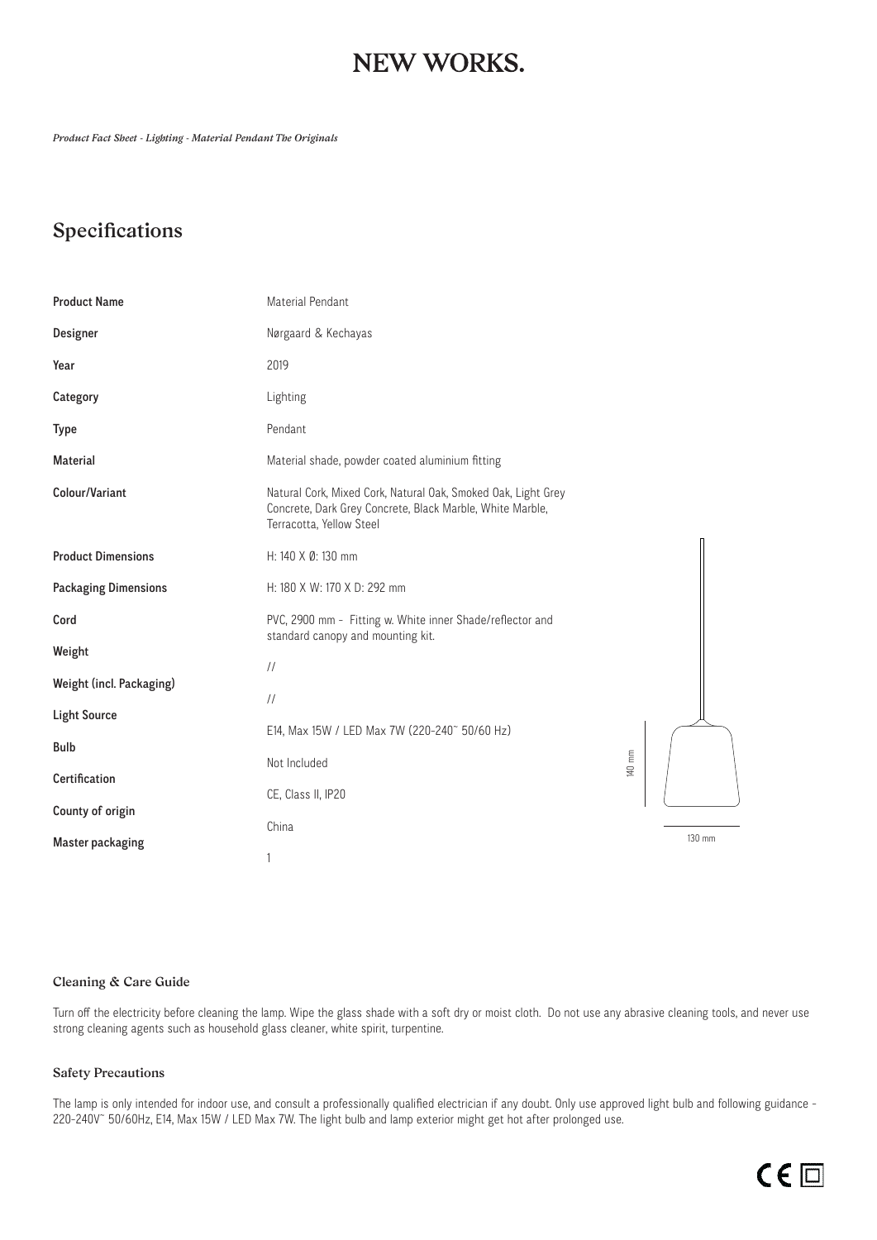## **NEW WORKS.**

*Product Fact Sheet - Lighting - Material Pendant The Originals*

### *Specifications*

| <b>Product Name</b>         | Material Pendant                                                                                                                                       |        |        |
|-----------------------------|--------------------------------------------------------------------------------------------------------------------------------------------------------|--------|--------|
| Designer                    | Nørgaard & Kechayas                                                                                                                                    |        |        |
| Year                        | 2019                                                                                                                                                   |        |        |
| Category                    | Lighting                                                                                                                                               |        |        |
| <b>Type</b>                 | Pendant                                                                                                                                                |        |        |
| <b>Material</b>             | Material shade, powder coated aluminium fitting                                                                                                        |        |        |
| Colour/Variant              | Natural Cork, Mixed Cork, Natural Oak, Smoked Oak, Light Grey<br>Concrete, Dark Grey Concrete, Black Marble, White Marble,<br>Terracotta, Yellow Steel |        |        |
| <b>Product Dimensions</b>   | H: 140 X Ø: 130 mm                                                                                                                                     |        |        |
| <b>Packaging Dimensions</b> | H: 180 X W: 170 X D: 292 mm                                                                                                                            |        |        |
| Cord                        | PVC, 2900 mm - Fitting w. White inner Shade/reflector and<br>standard canopy and mounting kit.                                                         |        |        |
| Weight                      | $\frac{1}{2}$                                                                                                                                          |        |        |
| Weight (incl. Packaging)    | $\frac{1}{2}$                                                                                                                                          |        |        |
| <b>Light Source</b>         | E14, Max 15W / LED Max 7W (220-240~ 50/60 Hz)                                                                                                          |        |        |
| <b>Bulb</b>                 | Not Included                                                                                                                                           | 140 mm |        |
| Certification               | CE, Class II, IP20                                                                                                                                     |        |        |
| County of origin            | China                                                                                                                                                  |        |        |
| <b>Master packaging</b>     | 1                                                                                                                                                      |        | 130 mm |

### *Cleaning & Care Guide*

Turn off the electricity before cleaning the lamp. Wipe the glass shade with a soft dry or moist cloth. Do not use any abrasive cleaning tools, and never use strong cleaning agents such as household glass cleaner, white spirit, turpentine.

### *Safety Precautions*

The lamp is only intended for indoor use, and consult a professionally qualified electrician if any doubt. Only use approved light bulb and following guidance -220-240V~ 50/60Hz, E14, Max 15W / LED Max 7W. The light bulb and lamp exterior might get hot after prolonged use.